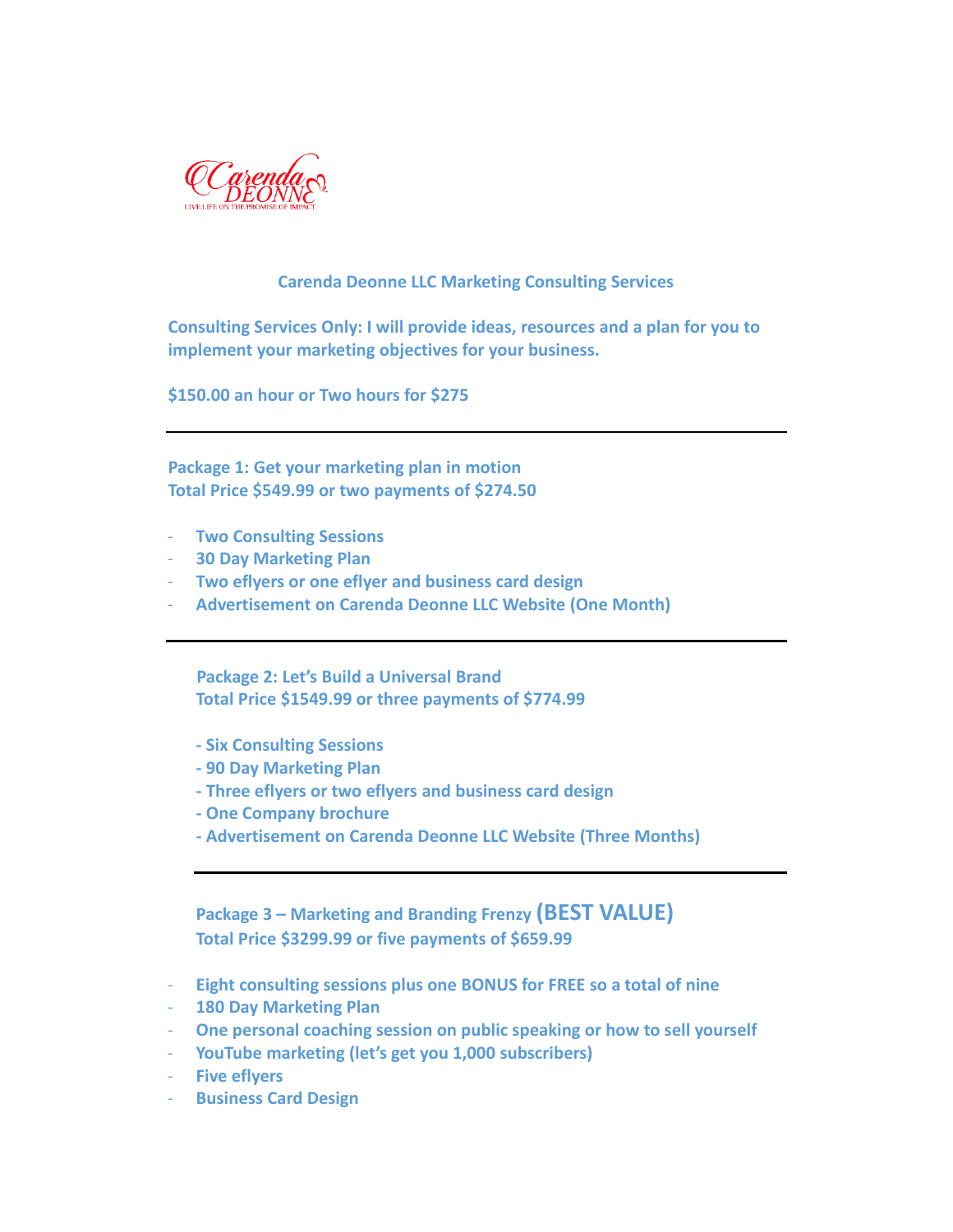

## **Carenda Deonne LLC Marketing Consulting Services**

**Consulting Services Only: I will provide ideas, resources and a plan for you to implement your marketing objectives for your business.**

**\$150.00 an hour or Two hours for \$275**

**Package 1: Get your marketing plan in motion Total Price \$549.99 or two payments of \$274.50**

- **Two Consulting Sessions**
- **30 Day Marketing Plan**
- **Two eflyers or one eflyer and business card design**
- **Advertisement on Carenda Deonne LLC Website (One Month)**

 **Package 2: Let's Build a Universal Brand Total Price \$1549.99 or three payments of \$774.99**

- **- Six Consulting Sessions**
- **- 90 Day Marketing Plan**
- **- Three eflyers or two eflyers and business card design**
- **- One Company brochure**
- **- Advertisement on Carenda Deonne LLC Website (Three Months)**

**Package 3 – Marketing and Branding Frenzy (BEST VALUE) Total Price \$3299.99 or five payments of \$659.99**

- **Eight consulting sessions plus one BONUS for FREE so a total of nine**
- **180 Day Marketing Plan**
- **One personal coaching session on public speaking or how to sell yourself**
- **YouTube marketing (let's get you 1,000 subscribers)**
- **Five eflyers**
- **Business Card Design**